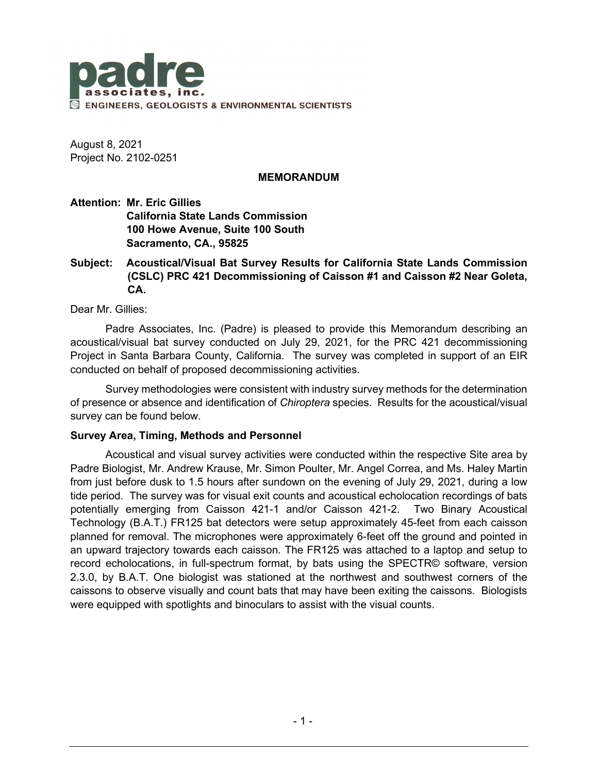

August 8, 2021 Project No. 2102-0251

### **MEMORANDUM**

**Attention: Mr. Eric Gillies California State Lands Commission 100 Howe Avenue, Suite 100 South Sacramento, CA., 95825**

# **Subject: Acoustical/Visual Bat Survey Results for California State Lands Commission (CSLC) PRC 421 Decommissioning of Caisson #1 and Caisson #2 Near Goleta, CA.**

Dear Mr. Gillies:

Padre Associates, Inc. (Padre) is pleased to provide this Memorandum describing an acoustical/visual bat survey conducted on July 29, 2021, for the PRC 421 decommissioning Project in Santa Barbara County, California. The survey was completed in support of an EIR conducted on behalf of proposed decommissioning activities.

Survey methodologies were consistent with industry survey methods for the determination of presence or absence and identification of *Chiroptera* species. Results for the acoustical/visual survey can be found below.

#### **Survey Area, Timing, Methods and Personnel**

Acoustical and visual survey activities were conducted within the respective Site area by Padre Biologist, Mr. Andrew Krause, Mr. Simon Poulter, Mr. Angel Correa, and Ms. Haley Martin from just before dusk to 1.5 hours after sundown on the evening of July 29, 2021, during a low tide period. The survey was for visual exit counts and acoustical echolocation recordings of bats potentially emerging from Caisson 421-1 and/or Caisson 421-2. Two Binary Acoustical Technology (B.A.T.) FR125 bat detectors were setup approximately 45-feet from each caisson planned for removal. The microphones were approximately 6-feet off the ground and pointed in an upward trajectory towards each caisson. The FR125 was attached to a laptop and setup to record echolocations, in full-spectrum format, by bats using the SPECTR© software, version 2.3.0, by B.A.T. One biologist was stationed at the northwest and southwest corners of the caissons to observe visually and count bats that may have been exiting the caissons. Biologists were equipped with spotlights and binoculars to assist with the visual counts.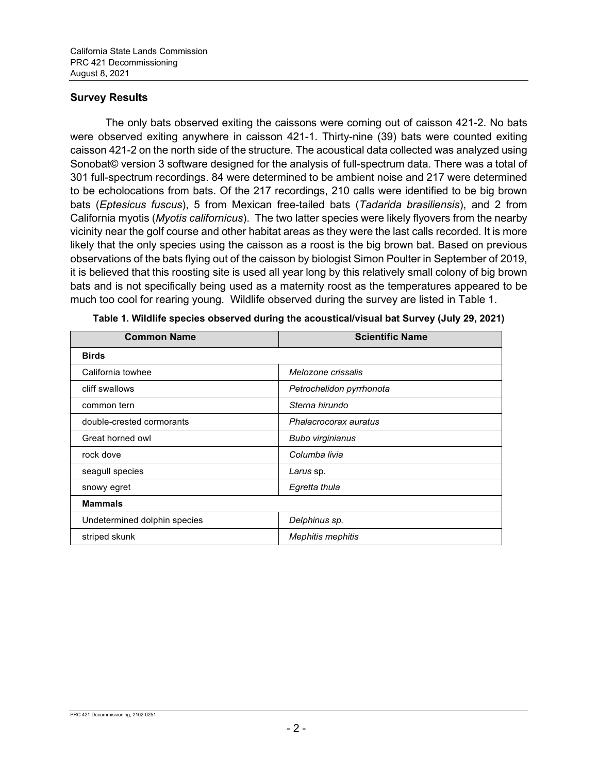# **Survey Results**

The only bats observed exiting the caissons were coming out of caisson 421-2. No bats were observed exiting anywhere in caisson 421-1. Thirty-nine (39) bats were counted exiting caisson 421-2 on the north side of the structure. The acoustical data collected was analyzed using Sonobat© version 3 software designed for the analysis of full-spectrum data. There was a total of 301 full-spectrum recordings. 84 were determined to be ambient noise and 217 were determined to be echolocations from bats. Of the 217 recordings, 210 calls were identified to be big brown bats (*Eptesicus fuscus*), 5 from Mexican free-tailed bats (*Tadarida brasiliensis*), and 2 from California myotis (*Myotis californicus*). The two latter species were likely flyovers from the nearby vicinity near the golf course and other habitat areas as they were the last calls recorded. It is more likely that the only species using the caisson as a roost is the big brown bat. Based on previous observations of the bats flying out of the caisson by biologist Simon Poulter in September of 2019, it is believed that this roosting site is used all year long by this relatively small colony of big brown bats and is not specifically being used as a maternity roost as the temperatures appeared to be much too cool for rearing young. Wildlife observed during the survey are listed in Table 1.

| <b>Common Name</b>           | <b>Scientific Name</b>   |
|------------------------------|--------------------------|
| <b>Birds</b>                 |                          |
| California towhee            | Melozone crissalis       |
| cliff swallows               | Petrochelidon pyrrhonota |
| common tern                  | Sterna hirundo           |
| double-crested cormorants    | Phalacrocorax auratus    |
| Great horned owl             | <b>Bubo virginianus</b>  |
| rock dove                    | Columba livia            |
| seagull species              | Larus sp.                |
| snowy egret                  | Egretta thula            |
| <b>Mammals</b>               |                          |
| Undetermined dolphin species | Delphinus sp.            |
| striped skunk                | <b>Mephitis mephitis</b> |

**Table 1. Wildlife species observed during the acoustical/visual bat Survey (July 29, 2021)**